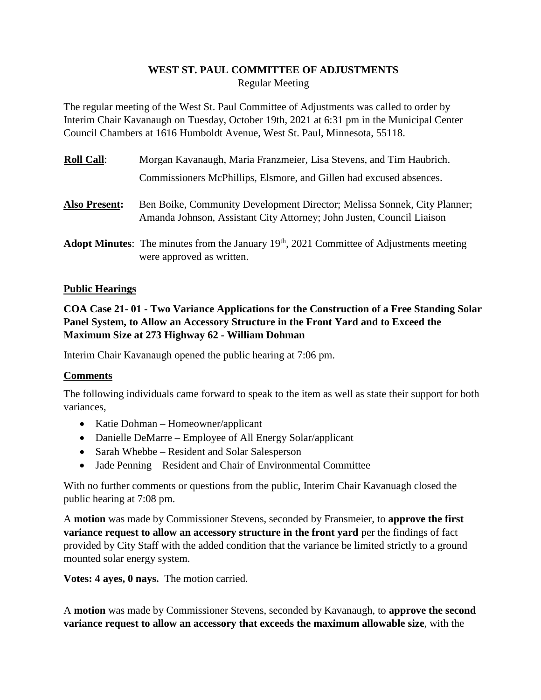# **WEST ST. PAUL COMMITTEE OF ADJUSTMENTS** Regular Meeting

The regular meeting of the West St. Paul Committee of Adjustments was called to order by Interim Chair Kavanaugh on Tuesday, October 19th, 2021 at 6:31 pm in the Municipal Center Council Chambers at 1616 Humboldt Avenue, West St. Paul, Minnesota, 55118.

| <u> Roll Call:</u>   | Morgan Kavanaugh, Maria Franzmeier, Lisa Stevens, and Tim Haubrich.                                                                               |
|----------------------|---------------------------------------------------------------------------------------------------------------------------------------------------|
|                      | Commissioners McPhillips, Elsmore, and Gillen had excused absences.                                                                               |
| <b>Also Present:</b> | Ben Boike, Community Development Director; Melissa Sonnek, City Planner;<br>Amanda Johnson, Assistant City Attorney; John Justen, Council Liaison |
|                      | <b>Adopt Minutes:</b> The minutes from the January $19th$ , 2021 Committee of Adjustments meeting<br>were approved as written.                    |

#### **Public Hearings**

**COA Case 21- 01 - Two Variance Applications for the Construction of a Free Standing Solar Panel System, to Allow an Accessory Structure in the Front Yard and to Exceed the Maximum Size at 273 Highway 62 - William Dohman**

Interim Chair Kavanaugh opened the public hearing at 7:06 pm.

### **Comments**

The following individuals came forward to speak to the item as well as state their support for both variances,

- Katie Dohman Homeowner/applicant
- Danielle DeMarre Employee of All Energy Solar/applicant
- Sarah Whebbe Resident and Solar Salesperson
- Jade Penning Resident and Chair of Environmental Committee

With no further comments or questions from the public, Interim Chair Kavanuagh closed the public hearing at 7:08 pm.

A **motion** was made by Commissioner Stevens, seconded by Fransmeier, to **approve the first variance request to allow an accessory structure in the front yard** per the findings of fact provided by City Staff with the added condition that the variance be limited strictly to a ground mounted solar energy system.

**Votes: 4 ayes, 0 nays.** The motion carried.

A **motion** was made by Commissioner Stevens, seconded by Kavanaugh, to **approve the second variance request to allow an accessory that exceeds the maximum allowable size**, with the